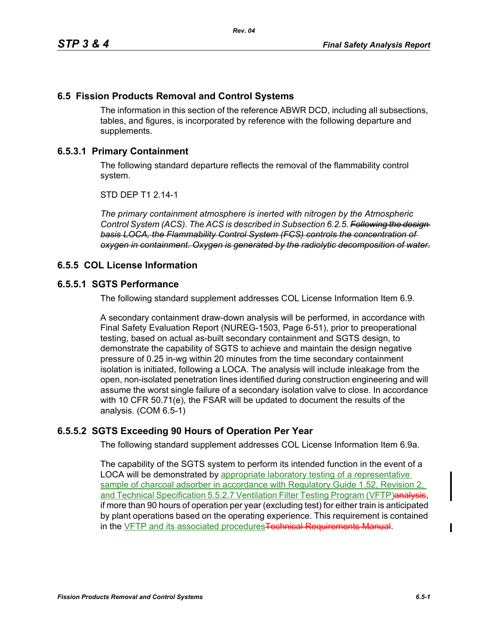## **6.5 Fission Products Removal and Control Systems**

The information in this section of the reference ABWR DCD, including all subsections, tables, and figures, is incorporated by reference with the following departure and supplements.

## **6.5.3.1 Primary Containment**

The following standard departure reflects the removal of the flammability control system.

STD DEP T1 2.14-1

*The primary containment atmosphere is inerted with nitrogen by the Atmospheric Control System (ACS). The ACS is described in Subsection 6.2.5. Following the design basis LOCA, the Flammability Control System (FCS) controls the concentration of oxygen in containment. Oxygen is generated by the radiolytic decomposition of water.*

#### **6.5.5 COL License Information**

#### **6.5.5.1 SGTS Performance**

The following standard supplement addresses COL License Information Item 6.9.

A secondary containment draw-down analysis will be performed, in accordance with Final Safety Evaluation Report (NUREG-1503, Page 6-51), prior to preoperational testing, based on actual as-built secondary containment and SGTS design, to demonstrate the capability of SGTS to achieve and maintain the design negative pressure of 0.25 in-wg within 20 minutes from the time secondary containment isolation is initiated, following a LOCA. The analysis will include inleakage from the open, non-isolated penetration lines identified during construction engineering and will assume the worst single failure of a secondary isolation valve to close. In accordance with 10 CFR 50.71(e), the FSAR will be updated to document the results of the analysis. (COM 6.5-1)

# **6.5.5.2 SGTS Exceeding 90 Hours of Operation Per Year**

The following standard supplement addresses COL License Information Item 6.9a.

The capability of the SGTS system to perform its intended function in the event of a LOCA will be demonstrated by appropriate laboratory testing of a representative sample of charcoal adsorber in accordance with Regulatory Guide 1.52, Revision 2, and Technical Specification 5.5.2.7 Ventilation Filter Testing Program (VFTP)analysis, if more than 90 hours of operation per year (excluding test) for either train is anticipated by plant operations based on the operating experience. This requirement is contained in the VFTP and its associated procedures Technical Requirements Manual.